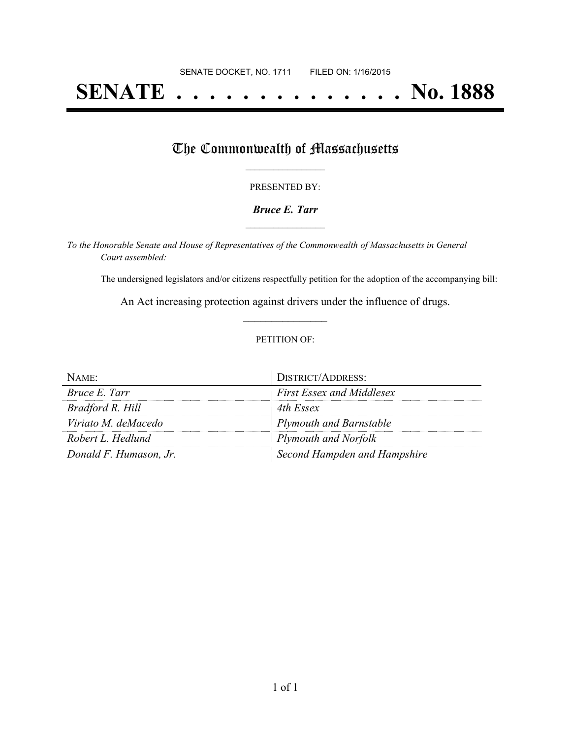# **SENATE . . . . . . . . . . . . . . No. 1888**

## The Commonwealth of Massachusetts

#### PRESENTED BY:

#### *Bruce E. Tarr* **\_\_\_\_\_\_\_\_\_\_\_\_\_\_\_\_\_**

*To the Honorable Senate and House of Representatives of the Commonwealth of Massachusetts in General Court assembled:*

The undersigned legislators and/or citizens respectfully petition for the adoption of the accompanying bill:

An Act increasing protection against drivers under the influence of drugs. **\_\_\_\_\_\_\_\_\_\_\_\_\_\_\_**

#### PETITION OF:

| NAME:                  | <b>DISTRICT/ADDRESS:</b>         |
|------------------------|----------------------------------|
| Bruce E. Tarr          | <b>First Essex and Middlesex</b> |
| Bradford R. Hill       | 4th Essex                        |
| Viriato M. deMacedo    | <b>Plymouth and Barnstable</b>   |
| Robert L. Hedlund      | Plymouth and Norfolk             |
| Donald F. Humason, Jr. | Second Hampden and Hampshire     |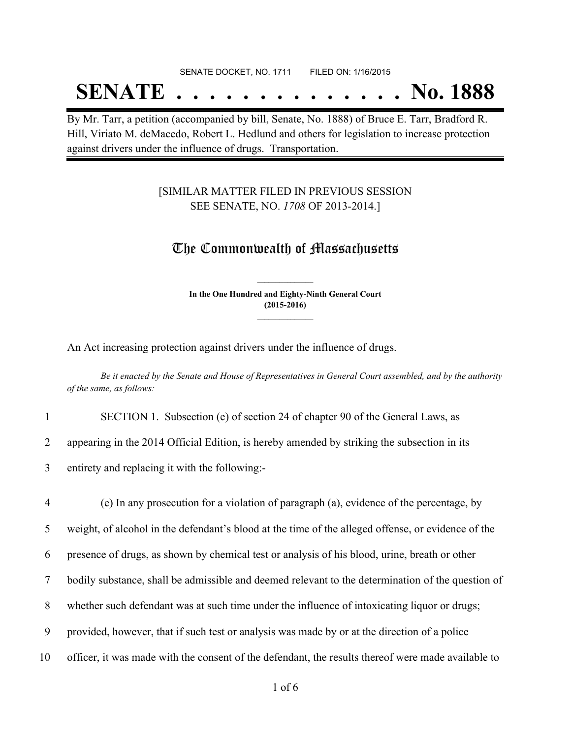#### SENATE DOCKET, NO. 1711 FILED ON: 1/16/2015

## **SENATE . . . . . . . . . . . . . . No. 1888**

By Mr. Tarr, a petition (accompanied by bill, Senate, No. 1888) of Bruce E. Tarr, Bradford R. Hill, Viriato M. deMacedo, Robert L. Hedlund and others for legislation to increase protection against drivers under the influence of drugs. Transportation.

### [SIMILAR MATTER FILED IN PREVIOUS SESSION SEE SENATE, NO. *1708* OF 2013-2014.]

## The Commonwealth of Massachusetts

**In the One Hundred and Eighty-Ninth General Court (2015-2016) \_\_\_\_\_\_\_\_\_\_\_\_\_\_\_**

**\_\_\_\_\_\_\_\_\_\_\_\_\_\_\_**

An Act increasing protection against drivers under the influence of drugs.

Be it enacted by the Senate and House of Representatives in General Court assembled, and by the authority *of the same, as follows:*

1 SECTION 1. Subsection (e) of section 24 of chapter 90 of the General Laws, as

2 appearing in the 2014 Official Edition, is hereby amended by striking the subsection in its

3 entirety and replacing it with the following:-

 (e) In any prosecution for a violation of paragraph (a), evidence of the percentage, by weight, of alcohol in the defendant's blood at the time of the alleged offense, or evidence of the presence of drugs, as shown by chemical test or analysis of his blood, urine, breath or other bodily substance, shall be admissible and deemed relevant to the determination of the question of whether such defendant was at such time under the influence of intoxicating liquor or drugs; provided, however, that if such test or analysis was made by or at the direction of a police officer, it was made with the consent of the defendant, the results thereof were made available to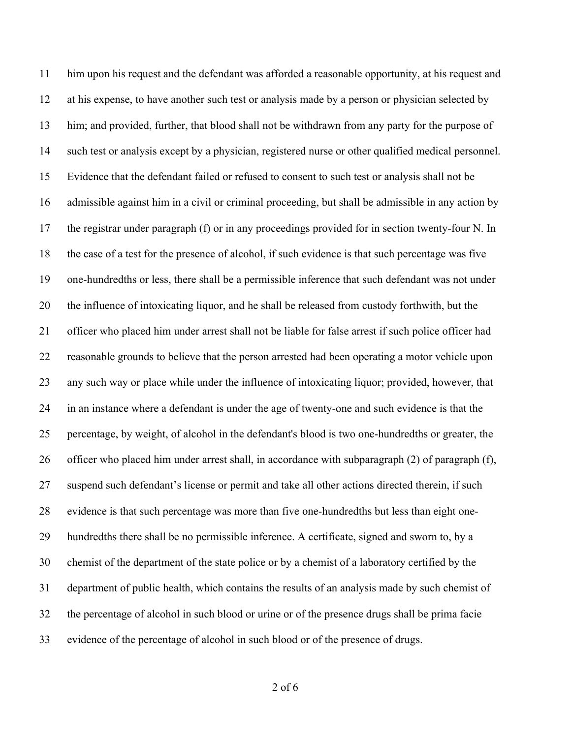him upon his request and the defendant was afforded a reasonable opportunity, at his request and at his expense, to have another such test or analysis made by a person or physician selected by him; and provided, further, that blood shall not be withdrawn from any party for the purpose of such test or analysis except by a physician, registered nurse or other qualified medical personnel. Evidence that the defendant failed or refused to consent to such test or analysis shall not be admissible against him in a civil or criminal proceeding, but shall be admissible in any action by the registrar under paragraph (f) or in any proceedings provided for in section twenty-four N. In the case of a test for the presence of alcohol, if such evidence is that such percentage was five one-hundredths or less, there shall be a permissible inference that such defendant was not under the influence of intoxicating liquor, and he shall be released from custody forthwith, but the officer who placed him under arrest shall not be liable for false arrest if such police officer had reasonable grounds to believe that the person arrested had been operating a motor vehicle upon any such way or place while under the influence of intoxicating liquor; provided, however, that in an instance where a defendant is under the age of twenty-one and such evidence is that the percentage, by weight, of alcohol in the defendant's blood is two one-hundredths or greater, the officer who placed him under arrest shall, in accordance with subparagraph (2) of paragraph (f), suspend such defendant's license or permit and take all other actions directed therein, if such evidence is that such percentage was more than five one-hundredths but less than eight one- hundredths there shall be no permissible inference. A certificate, signed and sworn to, by a chemist of the department of the state police or by a chemist of a laboratory certified by the department of public health, which contains the results of an analysis made by such chemist of the percentage of alcohol in such blood or urine or of the presence drugs shall be prima facie evidence of the percentage of alcohol in such blood or of the presence of drugs.

of 6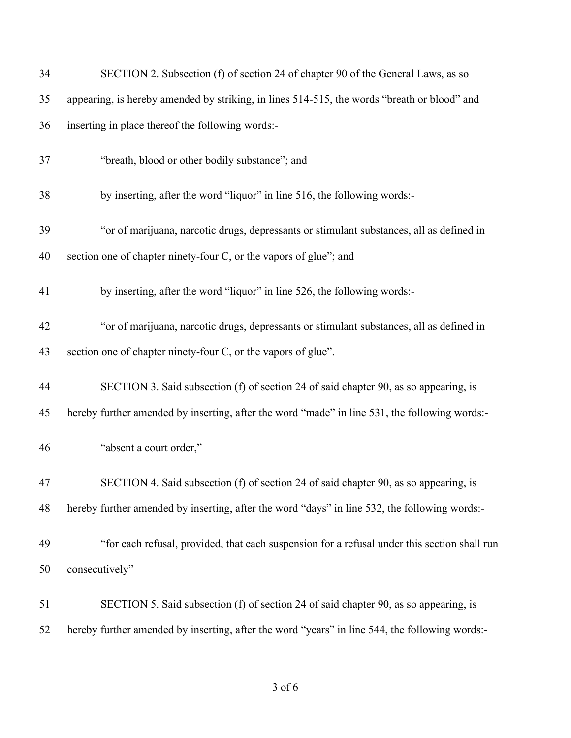| 34 | SECTION 2. Subsection (f) of section 24 of chapter 90 of the General Laws, as so               |
|----|------------------------------------------------------------------------------------------------|
| 35 | appearing, is hereby amended by striking, in lines 514-515, the words "breath or blood" and    |
| 36 | inserting in place thereof the following words:-                                               |
| 37 | "breath, blood or other bodily substance"; and                                                 |
| 38 | by inserting, after the word "liquor" in line 516, the following words:-                       |
| 39 | "or of marijuana, narcotic drugs, depressants or stimulant substances, all as defined in       |
| 40 | section one of chapter ninety-four C, or the vapors of glue"; and                              |
| 41 | by inserting, after the word "liquor" in line 526, the following words:-                       |
| 42 | "or of marijuana, narcotic drugs, depressants or stimulant substances, all as defined in       |
| 43 | section one of chapter ninety-four C, or the vapors of glue".                                  |
| 44 | SECTION 3. Said subsection (f) of section 24 of said chapter 90, as so appearing, is           |
| 45 | hereby further amended by inserting, after the word "made" in line 531, the following words:-  |
| 46 | "absent a court order,"                                                                        |
| 47 | SECTION 4. Said subsection (f) of section 24 of said chapter 90, as so appearing, is           |
| 48 | hereby further amended by inserting, after the word "days" in line 532, the following words:-  |
| 49 | "for each refusal, provided, that each suspension for a refusal under this section shall run   |
| 50 | consecutively"                                                                                 |
| 51 | SECTION 5. Said subsection (f) of section 24 of said chapter 90, as so appearing, is           |
| 52 | hereby further amended by inserting, after the word "years" in line 544, the following words:- |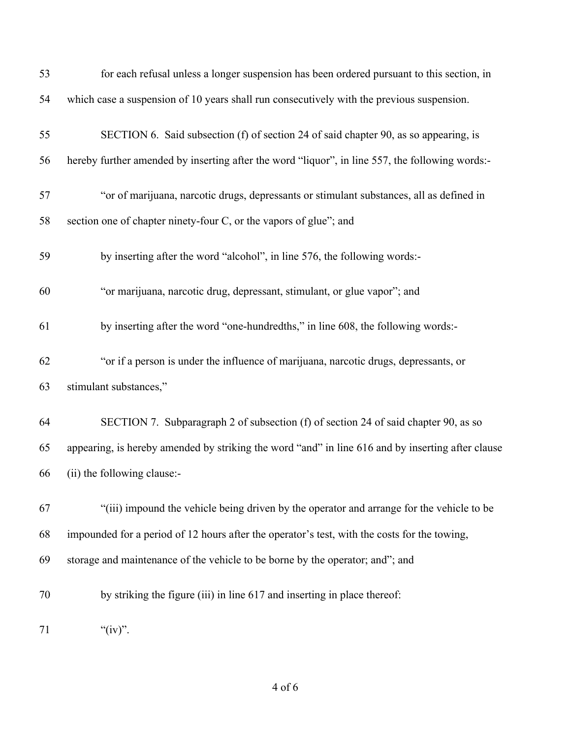| 53 | for each refusal unless a longer suspension has been ordered pursuant to this section, in         |
|----|---------------------------------------------------------------------------------------------------|
| 54 | which case a suspension of 10 years shall run consecutively with the previous suspension.         |
| 55 | SECTION 6. Said subsection (f) of section 24 of said chapter 90, as so appearing, is              |
| 56 | hereby further amended by inserting after the word "liquor", in line 557, the following words:-   |
| 57 | "or of marijuana, narcotic drugs, depressants or stimulant substances, all as defined in          |
| 58 | section one of chapter ninety-four C, or the vapors of glue"; and                                 |
| 59 | by inserting after the word "alcohol", in line 576, the following words:-                         |
| 60 | "or marijuana, narcotic drug, depressant, stimulant, or glue vapor"; and                          |
| 61 | by inserting after the word "one-hundredths," in line 608, the following words:-                  |
| 62 | "or if a person is under the influence of marijuana, narcotic drugs, depressants, or              |
| 63 | stimulant substances,"                                                                            |
| 64 | SECTION 7. Subparagraph 2 of subsection (f) of section 24 of said chapter 90, as so               |
| 65 | appearing, is hereby amended by striking the word "and" in line 616 and by inserting after clause |
| 66 | (ii) the following clause:-                                                                       |
| 67 | "(iii) impound the vehicle being driven by the operator and arrange for the vehicle to be         |
| 68 | impounded for a period of 12 hours after the operator's test, with the costs for the towing,      |
| 69 | storage and maintenance of the vehicle to be borne by the operator; and"; and                     |
| 70 | by striking the figure (iii) in line 617 and inserting in place thereof:                          |
| 71 | " $(iv)$ ".                                                                                       |

## of 6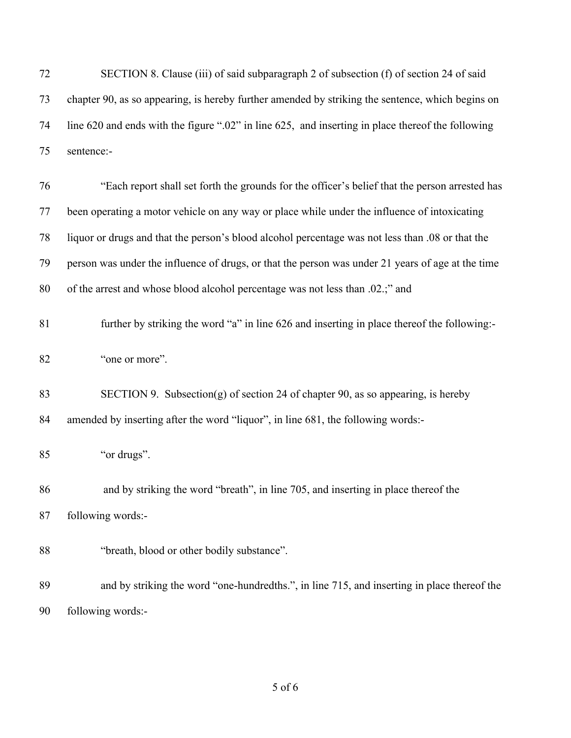| 72 | SECTION 8. Clause (iii) of said subparagraph 2 of subsection (f) of section 24 of said            |
|----|---------------------------------------------------------------------------------------------------|
| 73 | chapter 90, as so appearing, is hereby further amended by striking the sentence, which begins on  |
| 74 | line 620 and ends with the figure ".02" in line 625, and inserting in place thereof the following |
| 75 | sentence:-                                                                                        |
| 76 | "Each report shall set forth the grounds for the officer's belief that the person arrested has    |
| 77 | been operating a motor vehicle on any way or place while under the influence of intoxicating      |
| 78 | liquor or drugs and that the person's blood alcohol percentage was not less than .08 or that the  |
| 79 | person was under the influence of drugs, or that the person was under 21 years of age at the time |
| 80 | of the arrest and whose blood alcohol percentage was not less than .02.;" and                     |
| 81 | further by striking the word "a" in line 626 and inserting in place thereof the following:-       |
| 82 | "one or more".                                                                                    |
| 83 | SECTION 9. Subsection(g) of section 24 of chapter 90, as so appearing, is hereby                  |
| 84 | amended by inserting after the word "liquor", in line 681, the following words:-                  |
| 85 | "or drugs".                                                                                       |
| 86 | and by striking the word "breath", in line 705, and inserting in place thereof the                |
| 87 | following words:-                                                                                 |
| 88 | "breath, blood or other bodily substance".                                                        |
| 89 | and by striking the word "one-hundredths.", in line 715, and inserting in place thereof the       |
| 90 | following words:-                                                                                 |

of 6